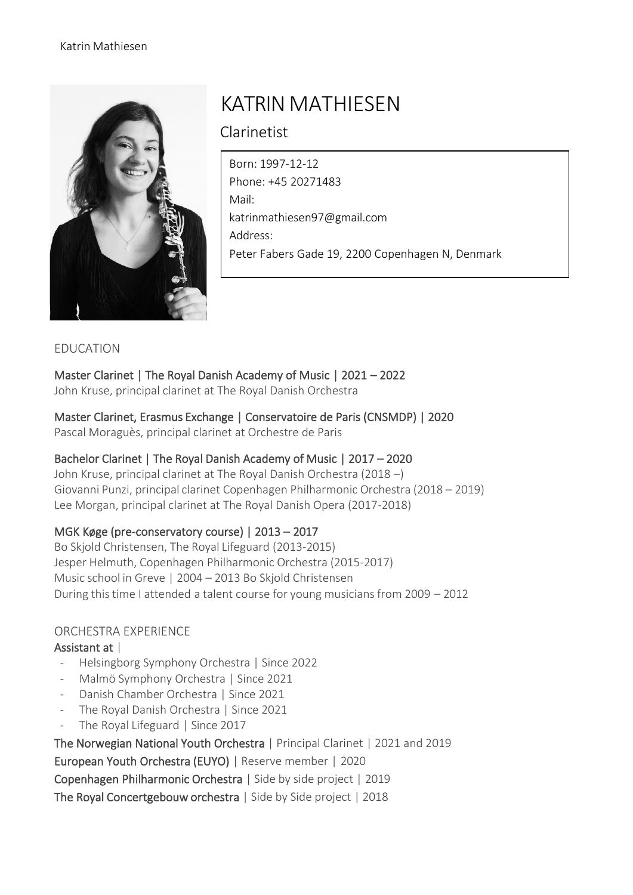

# KATRIN MATHIESEN

Clarinetist

Born: 1997-12-12 Phone: +45 20271483 Mail: [katrinmathiesen97@gmail.com](mailto:katrinmathiesen97@gmail.com) Address: Peter Fabers Gade 19, 2200 Copenhagen N, Denmark

#### EDUCATION

Master Clarinet | The Royal Danish Academy of Music | 2021 – 2022 John Kruse, principal clarinet at The Royal Danish Orchestra

Master Clarinet, Erasmus Exchange | Conservatoire de Paris (CNSMDP) | 2020

Pascal Moraguès, principal clarinet at Orchestre de Paris

## Bachelor Clarinet | The Royal Danish Academy of Music | 2017 – 2020

John Kruse, principal clarinet at The Royal Danish Orchestra (2018 –) Giovanni Punzi, principal clarinet Copenhagen Philharmonic Orchestra (2018 – 2019) Lee Morgan, principal clarinet at The Royal Danish Opera (2017-2018)

## MGK Køge (pre-conservatory course) | 2013 – 2017

Bo Skjold Christensen, The Royal Lifeguard (2013-2015) Jesper Helmuth, Copenhagen Philharmonic Orchestra (2015-2017) Music school in Greve | 2004 – 2013 Bo Skjold Christensen During this time I attended a talent course for young musicians from 2009 - 2012

## ORCHESTRA EXPERIENCE

## Assistant at |

- Helsingborg Symphony Orchestra | Since 2022
- Malmö Symphony Orchestra | Since 2021
- Danish Chamber Orchestra | Since 2021
- The Royal Danish Orchestra | Since 2021
- The Royal Lifeguard | Since 2017

The Norwegian National Youth Orchestra | Principal Clarinet | 2021 and 2019 European Youth Orchestra (EUYO) | Reserve member | 2020

Copenhagen Philharmonic Orchestra | Side by side project | 2019

The Royal Concertgebouw orchestra | Side by Side project | 2018